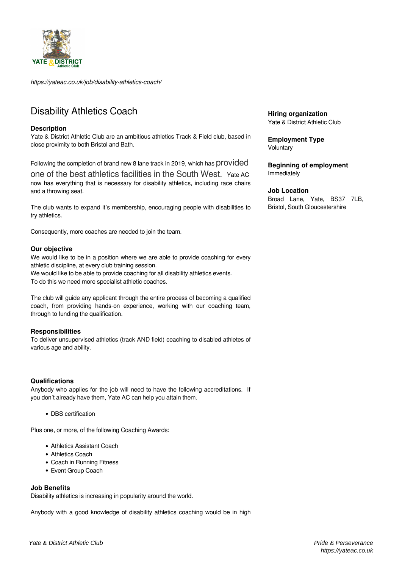

*https://yateac.co.uk/job/disability-athletics-coach/*

# Disability Athletics Coach

### **Description**

Yate & District Athletic Club are an ambitious athletics Track & Field club, based in close proximity to both Bristol and Bath.

Following the completion of brand new 8 lane track in 2019, which has provided

one of the best athletics facilities in the South West. Yate AC now has everything that is necessary for disability athletics, including race chairs and a throwing seat.

The club wants to expand it's membership, encouraging people with disabilities to try athletics.

Consequently, more coaches are needed to join the team.

### **Our objective**

We would like to be in a position where we are able to provide coaching for every athletic discipline, at every club training session.

We would like to be able to provide coaching for all disability athletics events. To do this we need more specialist athletic coaches.

The club will guide any applicant through the entire process of becoming a qualified coach, from providing hands-on experience, working with our coaching team, through to funding the qualification.

### **Responsibilities**

To deliver unsupervised athletics (track AND field) coaching to disabled athletes of various age and ability.

### **Qualifications**

Anybody who applies for the job will need to have the following accreditations. If you don't already have them, Yate AC can help you attain them.

• DBS certification

Plus one, or more, of the following Coaching Awards:

- Athletics Assistant Coach
- Athletics Coach
- Coach in Running Fitness
- Event Group Coach

### **Job Benefits**

Disability athletics is increasing in popularity around the world.

Anybody with a good knowledge of disability athletics coaching would be in high

**Hiring organization** Yate & District Athletic Club

**Employment Type Voluntary** 

**Beginning of employment** Immediately

#### **Job Location**

Broad Lane, Yate, BS37 7LB, Bristol, South Gloucestershire